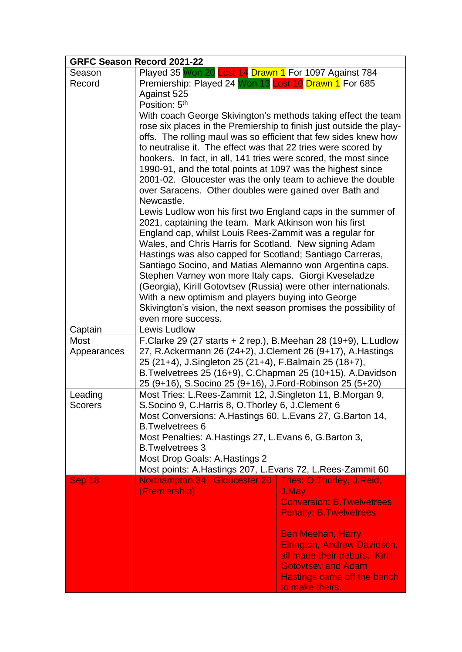|                | <b>GRFC Season Record 2021-22</b>                                                   |                                   |  |
|----------------|-------------------------------------------------------------------------------------|-----------------------------------|--|
| Season         | Played 35 Won 20 Lost 14 Drawn 1 For 1097 Against 784                               |                                   |  |
| Record         | Premiership: Played 24 Won 13 Lost 10 Drawn 1 For 685                               |                                   |  |
|                | Against 525                                                                         |                                   |  |
|                | Position: 5 <sup>th</sup>                                                           |                                   |  |
|                | With coach George Skivington's methods taking effect the team                       |                                   |  |
|                | rose six places in the Premiership to finish just outside the play-                 |                                   |  |
|                | offs. The rolling maul was so efficient that few sides knew how                     |                                   |  |
|                | to neutralise it. The effect was that 22 tries were scored by                       |                                   |  |
|                | hookers. In fact, in all, 141 tries were scored, the most since                     |                                   |  |
|                | 1990-91, and the total points at 1097 was the highest since                         |                                   |  |
|                | 2001-02. Gloucester was the only team to achieve the double                         |                                   |  |
|                | over Saracens. Other doubles were gained over Bath and                              |                                   |  |
|                | Newcastle.                                                                          |                                   |  |
|                | Lewis Ludlow won his first two England caps in the summer of                        |                                   |  |
|                | 2021, captaining the team. Mark Atkinson won his first                              |                                   |  |
|                | England cap, whilst Louis Rees-Zammit was a regular for                             |                                   |  |
|                | Wales, and Chris Harris for Scotland. New signing Adam                              |                                   |  |
|                | Hastings was also capped for Scotland; Santiago Carreras,                           |                                   |  |
|                | Santiago Socino, and Matias Alemanno won Argentina caps.                            |                                   |  |
|                | Stephen Varney won more Italy caps. Giorgi Kveseladze                               |                                   |  |
|                | (Georgia), Kirill Gotovtsev (Russia) were other internationals.                     |                                   |  |
|                | With a new optimism and players buying into George                                  |                                   |  |
|                | Skivington's vision, the next season promises the possibility of                    |                                   |  |
|                | even more success.                                                                  |                                   |  |
| Captain        | Lewis Ludlow                                                                        |                                   |  |
| Most           | F.Clarke 29 (27 starts $+$ 2 rep.), B.Meehan 28 (19+9), L.Ludlow                    |                                   |  |
| Appearances    | 27, R.Ackermann 26 (24+2), J.Clement 26 (9+17), A.Hastings                          |                                   |  |
|                | 25 (21+4), J.Singleton 25 (21+4), F.Balmain 25 (18+7),                              |                                   |  |
|                | B. Twelvetrees 25 (16+9), C. Chapman 25 (10+15), A. Davidson                        |                                   |  |
| Leading        | 25 (9+16), S.Socino 25 (9+16), J.Ford-Robinson 25 (5+20)                            |                                   |  |
| <b>Scorers</b> | Most Tries: L.Rees-Zammit 12, J.Singleton 11, B.Morgan 9,                           |                                   |  |
|                | S.Socino 9, C.Harris 8, O.Thorley 6, J.Clement 6                                    |                                   |  |
|                | Most Conversions: A.Hastings 60, L.Evans 27, G.Barton 14,<br><b>B.Twelvetrees 6</b> |                                   |  |
|                |                                                                                     |                                   |  |
|                | Most Penalties: A. Hastings 27, L. Evans 6, G. Barton 3,<br><b>B.Twelvetrees 3</b>  |                                   |  |
|                | Most Drop Goals: A. Hastings 2                                                      |                                   |  |
|                | Most points: A. Hastings 207, L. Evans 72, L. Rees-Zammit 60                        |                                   |  |
| Sep 18         | Northampton 34 Gloucester 20                                                        | <b>Tries: O.Thorley, J.Reid,</b>  |  |
|                | (Premiership)                                                                       | J.May                             |  |
|                |                                                                                     | <b>Conversion: B. Twelvetrees</b> |  |
|                |                                                                                     | <b>Penalty: B. Twelvetrees</b>    |  |
|                |                                                                                     |                                   |  |
|                |                                                                                     | <b>Ben Meehan, Harry</b>          |  |
|                |                                                                                     | Elrington, Andrew Davidson,       |  |
|                |                                                                                     | all made their debuts. Kirill     |  |
|                |                                                                                     | <b>Gotovtsev and Adam</b>         |  |
|                |                                                                                     | Hastings came off the bench       |  |
|                |                                                                                     | to make theirs.                   |  |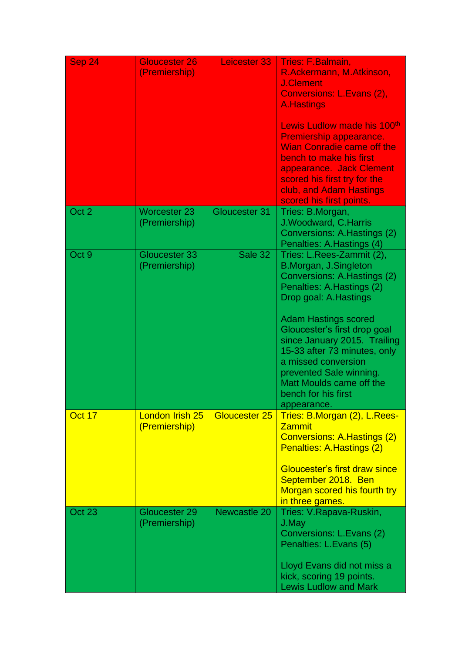| Sep 24           | <b>Gloucester 26</b><br>(Premiership) | Leicester 33  | <b>Tries: F.Balmain,</b><br>R.Ackermann, M.Atkinson,<br><b>J.Clement</b><br>Conversions: L.Evans (2),<br><b>A.Hastings</b><br>Lewis Ludlow made his 100 <sup>th</sup><br>Premiership appearance.<br><b>Wian Conradie came off the</b><br>bench to make his first<br>appearance. Jack Clement<br>scored his first try for the<br>club, and Adam Hastings<br>scored his first points.        |
|------------------|---------------------------------------|---------------|--------------------------------------------------------------------------------------------------------------------------------------------------------------------------------------------------------------------------------------------------------------------------------------------------------------------------------------------------------------------------------------------|
| Oct <sub>2</sub> | <b>Worcester 23</b><br>(Premiership)  | Gloucester 31 | Tries: B.Morgan,<br>J. Woodward, C. Harris<br>Conversions: A. Hastings (2)<br>Penalties: A.Hastings (4)                                                                                                                                                                                                                                                                                    |
| Oct 9            | Gloucester 33<br>(Premiership)        | Sale 32       | Tries: L.Rees-Zammit (2),<br>B.Morgan, J.Singleton<br>Conversions: A.Hastings (2)<br>Penalties: A.Hastings (2)<br>Drop goal: A.Hastings<br><b>Adam Hastings scored</b><br>Gloucester's first drop goal<br>since January 2015. Trailing<br>15-33 after 73 minutes, only<br>a missed conversion<br>prevented Sale winning.<br>Matt Moulds came off the<br>bench for his first<br>appearance. |
| Oct 17           | London Irish 25<br>(Premiership)      | Gloucester 25 | Tries: B.Morgan (2), L.Rees-<br><b>Zammit</b><br><b>Conversions: A. Hastings (2)</b><br>Penalties: A.Hastings (2)<br><b>Gloucester's first draw since</b><br>September 2018. Ben<br>Morgan scored his fourth try<br>in three games.                                                                                                                                                        |
| <b>Oct 23</b>    | Gloucester 29<br>(Premiership)        | Newcastle 20  | Tries: V.Rapava-Ruskin,<br>J.May<br>Conversions: L.Evans (2)<br>Penalties: L.Evans (5)<br>Lloyd Evans did not miss a<br>kick, scoring 19 points.<br><b>Lewis Ludlow and Mark</b>                                                                                                                                                                                                           |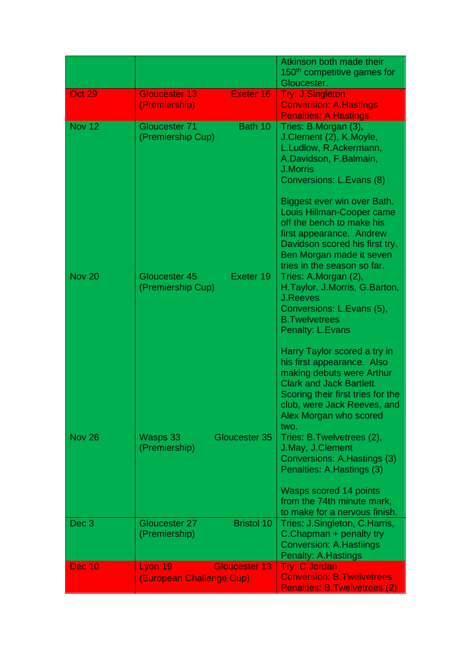|                  |                                                             | Atkinson both made their<br>150 <sup>th</sup> competitive games for<br>Gloucester.                                                                                                                                               |
|------------------|-------------------------------------------------------------|----------------------------------------------------------------------------------------------------------------------------------------------------------------------------------------------------------------------------------|
| <b>Oct 29</b>    | Exeter 16<br><b>Gloucester 13</b><br>(Premiership)          | <b>Try: J.Singleton</b><br><b>Conversion: A.Hastings</b><br><b>Penalties: A.Hastings</b>                                                                                                                                         |
| <b>Nov 12</b>    | Bath 10<br>Gloucester 71<br>(Premiership Cup)               | Tries: B.Morgan (3),<br>J.Clement (2), K.Moyle,<br>L.Ludlow, R.Ackermann,<br>A.Davidson, F.Balmain,<br><b>J.Morris</b><br>Conversions: L.Evans (8)<br>Biggest ever win over Bath.                                                |
|                  |                                                             | Louis Hillman-Cooper came<br>off the bench to make his<br>first appearance. Andrew<br>Davidson scored his first try.<br>Ben Morgan made it seven<br>tries in the season so far.                                                  |
| <b>Nov 20</b>    | Exeter 19<br>Gloucester 45<br>(Premiership Cup)             | Tries: A.Morgan (2),<br>H.Taylor, J.Morris, G.Barton,<br><b>J.Reeves</b><br>Conversions: L.Evans (5),<br><b>B.Twelvetrees</b><br>Penalty: L.Evans                                                                                |
|                  |                                                             | Harry Taylor scored a try in<br>his first appearance. Also<br>making debuts were Arthur<br><b>Clark and Jack Bartlett.</b><br>Scoring their first tries for the<br>club, were Jack Reeves, and<br>Alex Morgan who scored<br>two. |
| <b>Nov 26</b>    | Wasps 33<br>Gloucester 35<br>(Premiership)                  | Tries: B.Twelvetrees (2),<br>J.May, J.Clement<br>Conversions: A. Hastings (3)<br>Penalties: A.Hastings (3)                                                                                                                       |
|                  |                                                             | Wasps scored 14 points<br>from the 74th minute mark,<br>to make for a nervous finish.                                                                                                                                            |
| Dec <sub>3</sub> | <b>Bristol 10</b><br>Gloucester 27<br>(Premiership)         | Tries: J.Singleton, C.Harris,<br>C.Chapman + penalty try<br><b>Conversion: A. Hastiings</b><br>Penalty: A.Hastings                                                                                                               |
| <b>Dec 10</b>    | <b>Gloucester 13</b><br>Lyon 19<br>(European Challenge Cup) | <b>Try: C.Jordan</b><br><b>Conversion: B. Twelvetrees</b><br><b>Penalties: B.Twelvetrees (2)</b>                                                                                                                                 |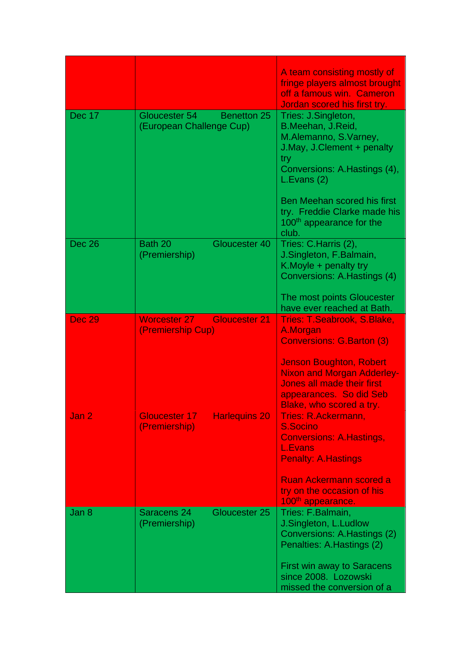|               |                                                                   | A team consisting mostly of<br>fringe players almost brought<br>off a famous win. Cameron<br>Jordan scored his first try.                                                                                                                                   |
|---------------|-------------------------------------------------------------------|-------------------------------------------------------------------------------------------------------------------------------------------------------------------------------------------------------------------------------------------------------------|
| <b>Dec 17</b> | Gloucester 54<br><b>Benetton 25</b><br>(European Challenge Cup)   | Tries: J.Singleton,<br>B.Meehan, J.Reid,<br>M.Alemanno, S.Varney,<br>J.May, J.Clement + penalty<br>try<br>Conversions: A.Hastings (4),<br>L.Evans(2)<br>Ben Meehan scored his first<br>try. Freddie Clarke made his<br>100 <sup>th</sup> appearance for the |
| <b>Dec 26</b> | Bath 20<br>Gloucester 40<br>(Premiership)                         | club.<br>Tries: C.Harris (2),<br>J.Singleton, F.Balmain,<br>K. Moyle + penalty try<br>Conversions: A. Hastings (4)<br>The most points Gloucester                                                                                                            |
| <b>Dec 29</b> | <b>Worcester 27</b><br><b>Gloucester 21</b>                       | have ever reached at Bath.<br>Tries: T.Seabrook, S.Blake,                                                                                                                                                                                                   |
| Jan 2         | (Premiership Cup)<br><b>Gloucester 17</b><br><b>Harlequins 20</b> | A.Morgan<br><b>Conversions: G.Barton (3)</b><br><b>Jenson Boughton, Robert</b><br><b>Nixon and Morgan Adderley-</b><br><b>Jones all made their first</b><br>appearances. So did Seb<br>Blake, who scored a try.<br>Tries: R.Ackermann,                      |
|               | (Premiership)                                                     | S.Socino<br><b>Conversions: A.Hastings,</b><br><b>L.Evans</b><br><b>Penalty: A.Hastings</b><br><b>Ruan Ackermann scored a</b><br>try on the occasion of his<br>100 <sup>th</sup> appearance.                                                                |
| Jan 8         | Saracens 24<br>Gloucester 25<br>(Premiership)                     | Tries: F.Balmain,<br>J.Singleton, L.Ludlow<br>Conversions: A. Hastings (2)<br>Penalties: A.Hastings (2)<br><b>First win away to Saracens</b><br>since 2008. Lozowski<br>missed the conversion of a                                                          |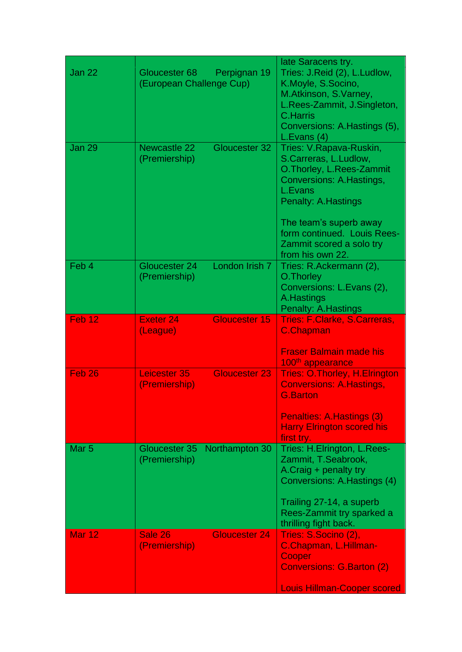|                   |                                           |                      | late Saracens try.                                                                                                                                                                                                                                           |
|-------------------|-------------------------------------------|----------------------|--------------------------------------------------------------------------------------------------------------------------------------------------------------------------------------------------------------------------------------------------------------|
| Jan 22            | Gloucester 68<br>(European Challenge Cup) | Perpignan 19         | Tries: J.Reid (2), L.Ludlow,<br>K.Moyle, S.Socino,<br>M.Atkinson, S.Varney,<br>L.Rees-Zammit, J.Singleton,<br><b>C.Harris</b><br>Conversions: A.Hastings (5),<br>L.Evans(4)                                                                                  |
| <b>Jan 29</b>     | <b>Newcastle 22</b><br>(Premiership)      | Gloucester 32        | Tries: V.Rapava-Ruskin,<br>S.Carreras, L.Ludlow,<br>O. Thorley, L. Rees-Zammit<br>Conversions: A.Hastings,<br>L.Evans<br><b>Penalty: A.Hastings</b><br>The team's superb away<br>form continued. Louis Rees-<br>Zammit scored a solo try<br>from his own 22. |
| Feb 4             | Gloucester 24<br>(Premiership)            | London Irish 7       | Tries: R.Ackermann (2),<br>O. Thorley<br>Conversions: L.Evans (2),<br>A. Hastings<br>Penalty: A. Hastings                                                                                                                                                    |
| Feb <sub>12</sub> | <b>Exeter 24</b>                          | Gloucester 15        | Tries: F.Clarke, S.Carreras,                                                                                                                                                                                                                                 |
| Feb <sub>26</sub> | (League)<br>Leicester 35<br>(Premiership) | <b>Gloucester 23</b> | <b>C.Chapman</b><br><b>Fraser Balmain made his</b><br>100 <sup>th</sup> appearance<br><b>Tries: O. Thorley, H. Elrington</b><br><b>Conversions: A.Hastings,</b><br><b>G.Barton</b><br>Penalties: A. Hastings (3)<br><b>Harry Elrington scored his</b>        |
|                   |                                           |                      | first try.                                                                                                                                                                                                                                                   |
| Mar <sub>5</sub>  | Gloucester 35<br>(Premiership)            | Northampton 30       | Tries: H.Elrington, L.Rees-                                                                                                                                                                                                                                  |
|                   |                                           |                      | Zammit, T.Seabrook,<br>A.Craig + penalty try<br>Conversions: A.Hastings (4)<br>Trailing 27-14, a superb<br>Rees-Zammit try sparked a<br>thrilling fight back.                                                                                                |
| <b>Mar 12</b>     | Sale 26                                   | <b>Gloucester 24</b> | Tries: S.Socino (2),                                                                                                                                                                                                                                         |
|                   | (Premiership)                             |                      | C.Chapman, L.Hillman-<br>Cooper<br><b>Conversions: G.Barton (2)</b><br><b>Louis Hillman-Cooper scored</b>                                                                                                                                                    |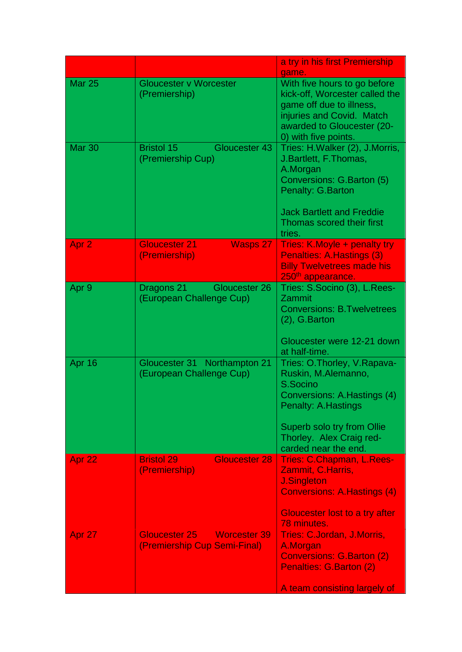|                  |                                                                             | a try in his first Premiership                                                                                                                                                                          |
|------------------|-----------------------------------------------------------------------------|---------------------------------------------------------------------------------------------------------------------------------------------------------------------------------------------------------|
| <b>Mar 25</b>    | <b>Gloucester v Worcester</b><br>(Premiership)                              | game.<br>With five hours to go before<br>kick-off, Worcester called the<br>game off due to illness,<br>injuries and Covid. Match<br>awarded to Gloucester (20-<br>0) with five points.                  |
| <b>Mar 30</b>    | Bristol 15<br>Gloucester 43<br>(Premiership Cup)                            | Tries: H. Walker (2), J. Morris,<br>J. Bartlett, F. Thomas,<br>A.Morgan<br>Conversions: G.Barton (5)<br>Penalty: G.Barton<br><b>Jack Bartlett and Freddie</b><br>Thomas scored their first<br>tries.    |
| Apr <sub>2</sub> | <b>Gloucester 21</b><br><b>Wasps 27</b><br>(Premiership)                    | Tries: K.Moyle + penalty try<br><b>Penalties: A. Hastings (3)</b><br><b>Billy Twelvetrees made his</b><br>250 <sup>th</sup> appearance.                                                                 |
| Apr 9            | Dragons 21<br>Gloucester 26<br>(European Challenge Cup)                     | Tries: S.Socino (3), L.Rees-<br>Zammit<br><b>Conversions: B.Twelvetrees</b><br>$(2)$ , G. Barton<br>Gloucester were 12-21 down<br>at half-time.                                                         |
| Apr 16           | Gloucester 31 Northampton 21<br>(European Challenge Cup)                    | Tries: O.Thorley, V.Rapava-<br>Ruskin, M.Alemanno,<br>S.Socino<br>Conversions: A. Hastings (4)<br>Penalty: A.Hastings<br>Superb solo try from Ollie<br>Thorley. Alex Craig red-<br>carded near the end. |
| Apr 22           | <b>Bristol 29</b><br><b>Gloucester 28</b><br>(Premiership)                  | Tries: C.Chapman, L.Rees-<br>Zammit, C.Harris,<br><b>J.Singleton</b><br><b>Conversions: A. Hastings (4)</b><br><b>Gloucester lost to a try after</b><br>78 minutes.                                     |
| Apr 27           | <b>Gloucester 25</b><br><b>Worcester 39</b><br>(Premiership Cup Semi-Final) | Tries: C.Jordan, J.Morris,<br>A.Morgan<br><b>Conversions: G.Barton (2)</b><br>Penalties: G.Barton (2)<br>A team consisting largely of                                                                   |